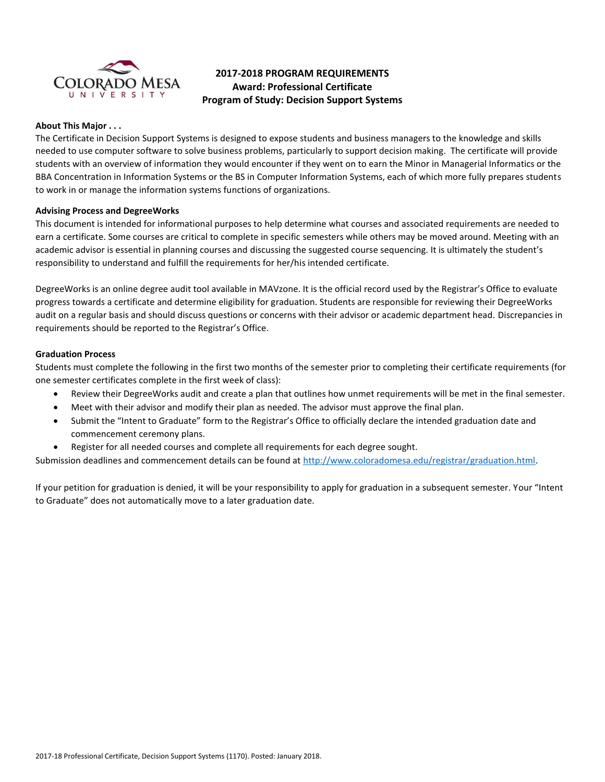

# **2017-2018 PROGRAM REQUIREMENTS Award: Professional Certificate Program of Study: Decision Support Systems**

## **About This Major . . .**

The Certificate in Decision Support Systems is designed to expose students and business managers to the knowledge and skills needed to use computer software to solve business problems, particularly to support decision making. The certificate will provide students with an overview of information they would encounter if they went on to earn the Minor in Managerial Informatics or the BBA Concentration in Information Systems or the BS in Computer Information Systems, each of which more fully prepares students to work in or manage the information systems functions of organizations.

## **Advising Process and DegreeWorks**

This document is intended for informational purposes to help determine what courses and associated requirements are needed to earn a certificate. Some courses are critical to complete in specific semesters while others may be moved around. Meeting with an academic advisor is essential in planning courses and discussing the suggested course sequencing. It is ultimately the student's responsibility to understand and fulfill the requirements for her/his intended certificate.

DegreeWorks is an online degree audit tool available in MAVzone. It is the official record used by the Registrar's Office to evaluate progress towards a certificate and determine eligibility for graduation. Students are responsible for reviewing their DegreeWorks audit on a regular basis and should discuss questions or concerns with their advisor or academic department head. Discrepancies in requirements should be reported to the Registrar's Office.

## **Graduation Process**

Students must complete the following in the first two months of the semester prior to completing their certificate requirements (for one semester certificates complete in the first week of class):

- Review their DegreeWorks audit and create a plan that outlines how unmet requirements will be met in the final semester.
- Meet with their advisor and modify their plan as needed. The advisor must approve the final plan.
- Submit the "Intent to Graduate" form to the Registrar's Office to officially declare the intended graduation date and commencement ceremony plans.
- Register for all needed courses and complete all requirements for each degree sought.

Submission deadlines and commencement details can be found at [http://www.coloradomesa.edu/registrar/graduation.html.](http://www.coloradomesa.edu/registrar/graduation.html)

If your petition for graduation is denied, it will be your responsibility to apply for graduation in a subsequent semester. Your "Intent to Graduate" does not automatically move to a later graduation date.